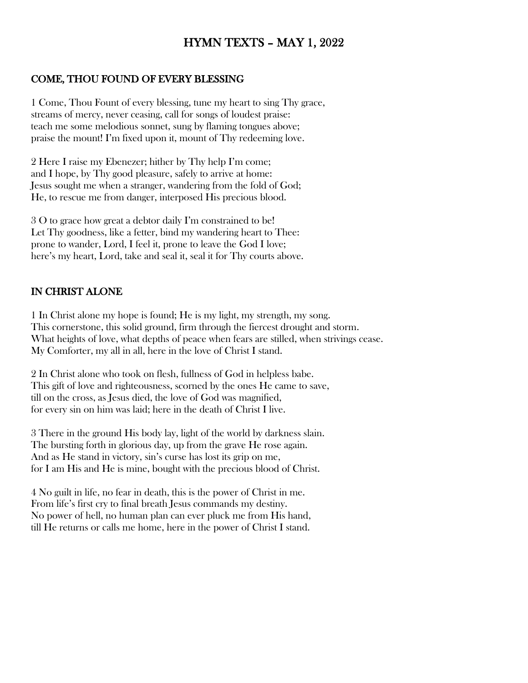# HYMN TEXTS – MAY 1, 2022

## COME, THOU FOUND OF EVERY BLESSING

1 Come, Thou Fount of every blessing, tune my heart to sing Thy grace, streams of mercy, never ceasing, call for songs of loudest praise: teach me some melodious sonnet, sung by flaming tongues above; praise the mount! I'm fixed upon it, mount of Thy redeeming love.

2 Here I raise my Ebenezer; hither by Thy help I'm come; and I hope, by Thy good pleasure, safely to arrive at home: Jesus sought me when a stranger, wandering from the fold of God; He, to rescue me from danger, interposed His precious blood.

3 O to grace how great a debtor daily I'm constrained to be! Let Thy goodness, like a fetter, bind my wandering heart to Thee: prone to wander, Lord, I feel it, prone to leave the God I love; here's my heart, Lord, take and seal it, seal it for Thy courts above.

#### IN CHRIST ALONE

1 In Christ alone my hope is found; He is my light, my strength, my song. This cornerstone, this solid ground, firm through the fiercest drought and storm. What heights of love, what depths of peace when fears are stilled, when strivings cease. My Comforter, my all in all, here in the love of Christ I stand.

2 In Christ alone who took on flesh, fullness of God in helpless babe. This gift of love and righteousness, scorned by the ones He came to save, till on the cross, as Jesus died, the love of God was magnified, for every sin on him was laid; here in the death of Christ I live.

3 There in the ground His body lay, light of the world by darkness slain. The bursting forth in glorious day, up from the grave He rose again. And as He stand in victory, sin's curse has lost its grip on me, for I am His and He is mine, bought with the precious blood of Christ.

4 No guilt in life, no fear in death, this is the power of Christ in me. From life's first cry to final breath Jesus commands my destiny. No power of hell, no human plan can ever pluck me from His hand, till He returns or calls me home, here in the power of Christ I stand.